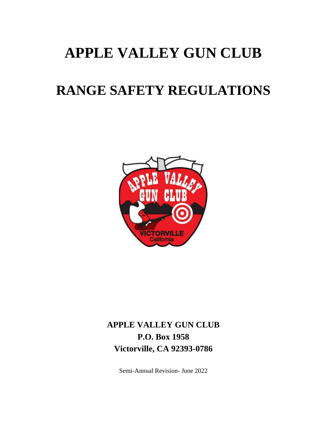# **APPLE VALLEY GUN CLUB**

# **RANGE SAFETY REGULATIONS**



# **APPLE VALLEY GUN CLUB P.O. Box 1958 Victorville, CA 92393-0786**

Semi-Annual Revision- June 2022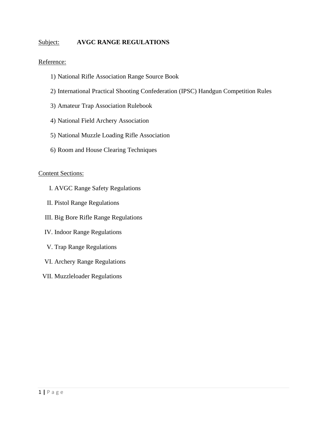#### Subject: **AVGC RANGE REGULATIONS**

#### Reference:

- 1) National Rifle Association Range Source Book
- 2) International Practical Shooting Confederation (IPSC) Handgun Competition Rules
- 3) Amateur Trap Association Rulebook
- 4) National Field Archery Association
- 5) National Muzzle Loading Rifle Association
- 6) Room and House Clearing Techniques

#### Content Sections:

- I. AVGC Range Safety Regulations
- II. Pistol Range Regulations
- III. Big Bore Rifle Range Regulations
- IV. Indoor Range Regulations
- V. Trap Range Regulations
- VI. Archery Range Regulations
- VII. Muzzleloader Regulations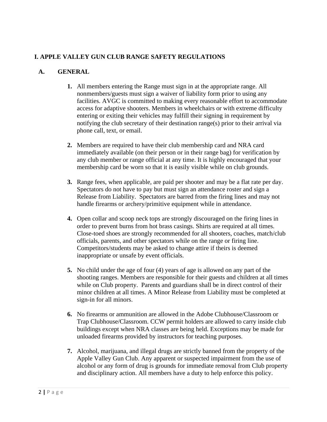# **I. APPLE VALLEY GUN CLUB RANGE SAFETY REGULATIONS**

- **1.** All members entering the Range must sign in at the appropriate range. All nonmembers/guests must sign a waiver of liability form prior to using any facilities. AVGC is committed to making every reasonable effort to accommodate access for adaptive shooters. Members in wheelchairs or with extreme difficulty entering or exiting their vehicles may fulfill their signing in requirement by notifying the club secretary of their destination range(s) prior to their arrival via phone call, text, or email.
- **2.** Members are required to have their club membership card and NRA card immediately available (on their person or in their range bag) for verification by any club member or range official at any time. It is highly encouraged that your membership card be worn so that it is easily visible while on club grounds.
- **3.** Range fees, when applicable, are paid per shooter and may be a flat rate per day. Spectators do not have to pay but must sign an attendance roster and sign a Release from Liability. Spectators are barred from the firing lines and may not handle firearms or archery/primitive equipment while in attendance.
- **4.** Open collar and scoop neck tops are strongly discouraged on the firing lines in order to prevent burns from hot brass casings. Shirts are required at all times. Close-toed shoes are strongly recommended for all shooters, coaches, match/club officials, parents, and other spectators while on the range or firing line. Competitors/students may be asked to change attire if theirs is deemed inappropriate or unsafe by event officials.
- **5.** No child under the age of four (4) years of age is allowed on any part of the shooting ranges. Members are responsible for their guests and children at all times while on Club property. Parents and guardians shall be in direct control of their minor children at all times. A Minor Release from Liability must be completed at sign-in for all minors.
- **6.** No firearms or ammunition are allowed in the Adobe Clubhouse/Classroom or Trap Clubhouse/Classroom. CCW permit holders are allowed to carry inside club buildings except when NRA classes are being held. Exceptions may be made for unloaded firearms provided by instructors for teaching purposes.
- **7.** Alcohol, marijuana, and illegal drugs are strictly banned from the property of the Apple Valley Gun Club. Any apparent or suspected impairment from the use of alcohol or any form of drug is grounds for immediate removal from Club property and disciplinary action. All members have a duty to help enforce this policy.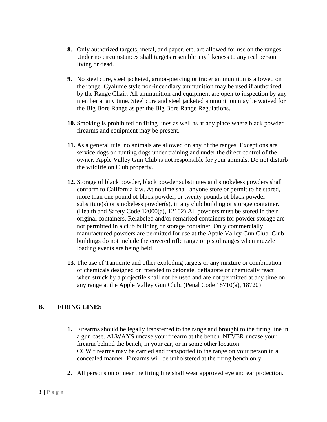- **8.** Only authorized targets, metal, and paper, etc. are allowed for use on the ranges. Under no circumstances shall targets resemble any likeness to any real person living or dead.
- **9.** No steel core, steel jacketed, armor-piercing or tracer ammunition is allowed on the range. Cyalume style non-incendiary ammunition may be used if authorized by the Range Chair. All ammunition and equipment are open to inspection by any member at any time. Steel core and steel jacketed ammunition may be waived for the Big Bore Range as per the Big Bore Range Regulations.
- **10.** Smoking is prohibited on firing lines as well as at any place where black powder firearms and equipment may be present.
- **11.** As a general rule, no animals are allowed on any of the ranges. Exceptions are service dogs or hunting dogs under training and under the direct control of the owner. Apple Valley Gun Club is not responsible for your animals. Do not disturb the wildlife on Club property.
- **12.** Storage of black powder, black powder substitutes and smokeless powders shall conform to California law. At no time shall anyone store or permit to be stored, more than one pound of black powder, or twenty pounds of black powder substitute(s) or smokeless powder(s), in any club building or storage container. (Health and Safety Code 12000(a), 12102) All powders must be stored in their original containers. Relabeled and/or remarked containers for powder storage are not permitted in a club building or storage container. Only commercially manufactured powders are permitted for use at the Apple Valley Gun Club. Club buildings do not include the covered rifle range or pistol ranges when muzzle loading events are being held.
- **13.** The use of Tannerite and other exploding targets or any mixture or combination of chemicals designed or intended to detonate, deflagrate or chemically react when struck by a projectile shall not be used and are not permitted at any time on any range at the Apple Valley Gun Club. (Penal Code 18710(a), 18720)

# **B. FIRING LINES**

- **1.** Firearms should be legally transferred to the range and brought to the firing line in a gun case. ALWAYS uncase your firearm at the bench. NEVER uncase your firearm behind the bench, in your car, or in some other location. CCW firearms may be carried and transported to the range on your person in a concealed manner. Firearms will be unholstered at the firing bench only.
- **2.** All persons on or near the firing line shall wear approved eye and ear protection.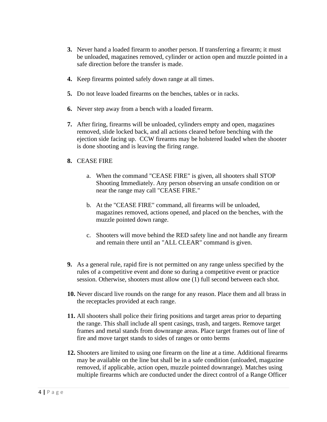- **3.** Never hand a loaded firearm to another person. If transferring a firearm; it must be unloaded, magazines removed, cylinder or action open and muzzle pointed in a safe direction before the transfer is made.
- **4.** Keep firearms pointed safely down range at all times.
- **5.** Do not leave loaded firearms on the benches, tables or in racks.
- **6.** Never step away from a bench with a loaded firearm.
- **7.** After firing, firearms will be unloaded, cylinders empty and open, magazines removed, slide locked back, and all actions cleared before benching with the ejection side facing up. CCW firearms may be holstered loaded when the shooter is done shooting and is leaving the firing range.
- **8.** CEASE FIRE
	- a. When the command "CEASE FIRE" is given, all shooters shall STOP Shooting Immediately. Any person observing an unsafe condition on or near the range may call "CEASE FIRE."
	- b. At the "CEASE FIRE" command, all firearms will be unloaded, magazines removed, actions opened, and placed on the benches, with the muzzle pointed down range.
	- c. Shooters will move behind the RED safety line and not handle any firearm and remain there until an "ALL CLEAR" command is given.
- **9.** As a general rule, rapid fire is not permitted on any range unless specified by the rules of a competitive event and done so during a competitive event or practice session. Otherwise, shooters must allow one (1) full second between each shot.
- **10.** Never discard live rounds on the range for any reason. Place them and all brass in the receptacles provided at each range.
- **11.** All shooters shall police their firing positions and target areas prior to departing the range. This shall include all spent casings, trash, and targets. Remove target frames and metal stands from downrange areas. Place target frames out of line of fire and move target stands to sides of ranges or onto berms
- **12.** Shooters are limited to using one firearm on the line at a time. Additional firearms may be available on the line but shall be in a safe condition (unloaded, magazine removed, if applicable, action open, muzzle pointed downrange). Matches using multiple firearms which are conducted under the direct control of a Range Officer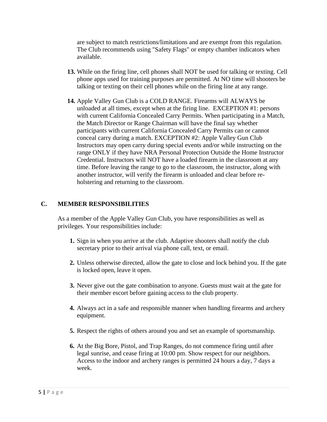are subject to match restrictions/limitations and are exempt from this regulation. The Club recommends using "Safety Flags" or empty chamber indicators when available.

- **13.** While on the firing line, cell phones shall NOT be used for talking or texting. Cell phone apps used for training purposes are permitted. At NO time will shooters be talking or texting on their cell phones while on the firing line at any range.
- **14.** Apple Valley Gun Club is a COLD RANGE. Firearms will ALWAYS be unloaded at all times, except when at the firing line. EXCEPTION #1: persons with current California Concealed Carry Permits. When participating in a Match, the Match Director or Range Chairman will have the final say whether participants with current California Concealed Carry Permits can or cannot conceal carry during a match. EXCEPTION #2: Apple Valley Gun Club Instructors may open carry during special events and/or while instructing on the range ONLY if they have NRA Personal Protection Outside the Home Instructor Credential. Instructors will NOT have a loaded firearm in the classroom at any time. Before leaving the range to go to the classroom, the instructor, along with another instructor, will verify the firearm is unloaded and clear before reholstering and returning to the classroom.

#### **C. MEMBER RESPONSIBILITIES**

As a member of the Apple Valley Gun Club, you have responsibilities as well as privileges. Your responsibilities include:

- **1.** Sign in when you arrive at the club. Adaptive shooters shall notify the club secretary prior to their arrival via phone call, text, or email.
- **2.** Unless otherwise directed, allow the gate to close and lock behind you. If the gate is locked open, leave it open.
- **3.** Never give out the gate combination to anyone. Guests must wait at the gate for their member escort before gaining access to the club property.
- **4.** Always act in a safe and responsible manner when handling firearms and archery equipment.
- **5.** Respect the rights of others around you and set an example of sportsmanship.
- **6.** At the Big Bore, Pistol, and Trap Ranges, do not commence firing until after legal sunrise, and cease firing at 10:00 pm. Show respect for our neighbors. Access to the indoor and archery ranges is permitted 24 hours a day, 7 days a week.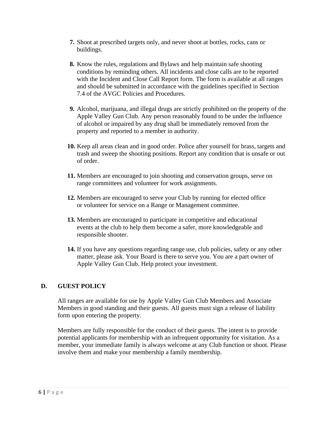- **7.** Shoot at prescribed targets only, and never shoot at bottles, rocks, cans or buildings.
- **8.** Know the rules, regulations and Bylaws and help maintain safe shooting conditions by reminding others. All incidents and close calls are to be reported with the Incident and Close Call Report form. The form is available at all ranges and should be submitted in accordance with the guidelines specified in Section 7.4 of the AVGC Policies and Procedures.
- **9.** Alcohol, marijuana, and illegal drugs are strictly prohibited on the property of the Apple Valley Gun Club. Any person reasonably found to be under the influence of alcohol or impaired by any drug shall be immediately removed from the property and reported to a member in authority.
- **10.** Keep all areas clean and in good order. Police after yourself for brass, targets and trash and sweep the shooting positions. Report any condition that is unsafe or out of order.
- **11.** Members are encouraged to join shooting and conservation groups, serve on range committees and volunteer for work assignments.
- **12.** Members are encouraged to serve your Club by running for elected office or volunteer for service on a Range or Management committee.
- **13.** Members are encouraged to participate in competitive and educational events at the club to help them become a safer, more knowledgeable and responsible shooter.
- **14.** If you have any questions regarding range use, club policies, safety or any other matter, please ask. Your Board is there to serve you. You are a part owner of Apple Valley Gun Club. Help protect your investment.

#### **D. GUEST POLICY**

All ranges are available for use by Apple Valley Gun Club Members and Associate Members in good standing and their guests. All guests must sign a release of liability form upon entering the property.

Members are fully responsible for the conduct of their guests. The intent is to provide potential applicants for membership with an infrequent opportunity for visitation. As a member, your immediate family is always welcome at any Club function or shoot. Please involve them and make your membership a family membership.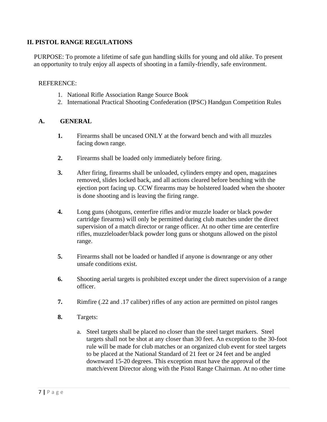### **II. PISTOL RANGE REGULATIONS**

PURPOSE: To promote a lifetime of safe gun handling skills for young and old alike. To present an opportunity to truly enjoy all aspects of shooting in a family-friendly, safe environment.

#### REFERENCE:

- 1. National Rifle Association Range Source Book
- 2. International Practical Shooting Confederation (IPSC) Handgun Competition Rules

- **1.** Firearms shall be uncased ONLY at the forward bench and with all muzzles facing down range.
- **2.** Firearms shall be loaded only immediately before firing.
- **3.** After firing, firearms shall be unloaded, cylinders empty and open, magazines removed, slides locked back, and all actions cleared before benching with the ejection port facing up. CCW firearms may be holstered loaded when the shooter is done shooting and is leaving the firing range.
- **4.** Long guns (shotguns, centerfire rifles and/or muzzle loader or black powder cartridge firearms) will only be permitted during club matches under the direct supervision of a match director or range officer. At no other time are centerfire rifles, muzzleloader/black powder long guns or shotguns allowed on the pistol range.
- **5.** Firearms shall not be loaded or handled if anyone is downrange or any other unsafe conditions exist.
- **6.** Shooting aerial targets is prohibited except under the direct supervision of a range officer.
- **7.** Rimfire (.22 and .17 caliber) rifles of any action are permitted on pistol ranges
- **8.** Targets:
	- a. Steel targets shall be placed no closer than the steel target markers. Steel targets shall not be shot at any closer than 30 feet. An exception to the 30-foot rule will be made for club matches or an organized club event for steel targets to be placed at the National Standard of 21 feet or 24 feet and be angled downward 15-20 degrees. This exception must have the approval of the match/event Director along with the Pistol Range Chairman. At no other time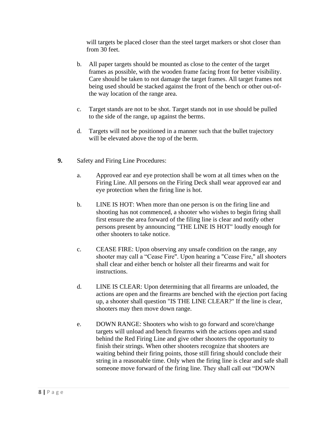will targets be placed closer than the steel target markers or shot closer than from 30 feet.

- b. All paper targets should be mounted as close to the center of the target frames as possible, with the wooden frame facing front for better visibility. Care should be taken to not damage the target frames. All target frames not being used should be stacked against the front of the bench or other out-ofthe way location of the range area.
- c. Target stands are not to be shot. Target stands not in use should be pulled to the side of the range, up against the berms.
- d. Targets will not be positioned in a manner such that the bullet trajectory will be elevated above the top of the berm.
- **9.** Safety and Firing Line Procedures:
	- a. Approved ear and eye protection shall be worn at all times when on the Firing Line. All persons on the Firing Deck shall wear approved ear and eye protection when the firing line is hot.
	- b. LINE IS HOT: When more than one person is on the firing line and shooting has not commenced, a shooter who wishes to begin firing shall first ensure the area forward of the filing line is clear and notify other persons present by announcing "THE LINE IS HOT" loudly enough for other shooters to take notice.
	- c. CEASE FIRE: Upon observing any unsafe condition on the range, any shooter may call a "Cease Fire". Upon hearing a "Cease Fire," all shooters shall clear and either bench or holster all their firearms and wait for instructions.
	- d. LINE IS CLEAR: Upon determining that all firearms are unloaded, the actions are open and the firearms are benched with the ejection port facing up, a shooter shall question "IS THE LINE CLEAR?" If the line is clear, shooters may then move down range.
	- e. DOWN RANGE: Shooters who wish to go forward and score/change targets will unload and bench firearms with the actions open and stand behind the Red Firing Line and give other shooters the opportunity to finish their strings. When other shooters recognize that shooters are waiting behind their firing points, those still firing should conclude their string in a reasonable time. Only when the firing line is clear and safe shall someone move forward of the firing line. They shall call out "DOWN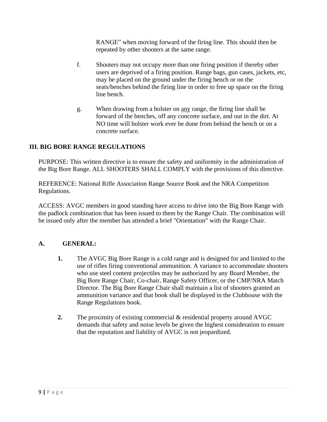RANGE" when moving forward of the firing line. This should then be repeated by other shooters at the same range.

- f. Shooters may not occupy more than one firing position if thereby other users are deprived of a firing position. Range bags, gun cases, jackets, etc, may be placed on the ground under the firing bench or on the seats/benches behind the firing line in order to free up space on the firing line bench.
- g. When drawing from a holster on any range, the firing line shall be forward of the benches, off any concrete surface, and out in the dirt. At NO time will holster work ever be done from behind the bench or on a concrete surface.

### **III. BIG BORE RANGE REGULATIONS**

PURPOSE: This written directive is to ensure the safety and uniformity in the administration of the Big Bore Range. ALL SHOOTERS SHALL COMPLY with the provisions of this directive.

REFERENCE: National Rifle Association Range Source Book and the NRA Competition Regulations.

ACCESS: AVGC members in good standing have access to drive into the Big Bore Range with the padlock combination that has been issued to them by the Range Chair. The combination will be issued only after the member has attended a brief "Orientation" with the Range Chair.

- **1.** The AVGC Big Bore Range is a cold range and is designed for and limited to the use of rifles firing conventional ammunition. A variance to accommodate shooters who use steel content projectiles may be authorized by any Board Member, the Big Bore Range Chair, Co-chair, Range Safety Officer, or the CMP/NRA Match Director. The Big Bore Range Chair shall maintain a list of shooters granted an ammunition variance and that book shall be displayed in the Clubhouse with the Range Regulations book.
- **2.** The proximity of existing commercial & residential property around AVGC demands that safety and noise levels be given the highest consideration to ensure that the reputation and liability of AVGC is not jeopardized.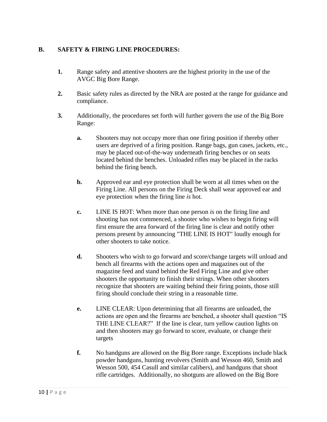#### **B. SAFETY & FIRING LINE PROCEDURES:**

- **1.** Range safety and attentive shooters are the highest priority in the use of the AVGC Big Bore Range.
- **2.** Basic safety rules as directed by the NRA are posted at the range for guidance and compliance.
- **3.** Additionally, the procedures set forth will further govern the use of the Big Bore Range:
	- **a.** Shooters may not occupy more than one firing position if thereby other users are deprived of a firing position. Range bags, gun cases, jackets, etc., may be placed out-of-the-way underneath firing benches or on seats located behind the benches. Unloaded rifles may be placed in the racks behind the firing bench.
	- **b.** Approved ear and eye protection shall be worn at all times when on the Firing Line. All persons on the Firing Deck shall wear approved ear and eye protection when the firing line *is* hot.
	- **c.** LINE IS HOT: When more than one person *is* on the firing line and shooting has not commenced, a shooter who wishes to begin firing will first ensure the area forward of the firing line is clear and notify other persons present by announcing "THE LINE IS HOT" loudly enough for other shooters to take notice.
	- **d.** Shooters who wish to go forward and score/change targets will unload and bench all firearms with the actions open and magazines out of the magazine feed and stand behind the Red Firing Line and give other shooters the opportunity to finish their strings. When other shooters recognize that shooters are waiting behind their firing points, those still firing should conclude their string in a reasonable time.
	- **e.** LINE CLEAR: Upon determining that all firearms are unloaded, the actions are open and the firearms are benched, a shooter shall question "IS THE LINE CLEAR?" If the line is clear, turn yellow caution lights on and then shooters may go forward to score, evaluate, or change their targets
	- **f.** No handguns are allowed on the Big Bore range. Exceptions include black powder handguns, hunting revolvers (Smith and Wesson 460, Smith and Wesson 500, 454 Casull and similar calibers), and handguns that shoot rifle cartridges. Additionally, no shotguns are allowed on the Big Bore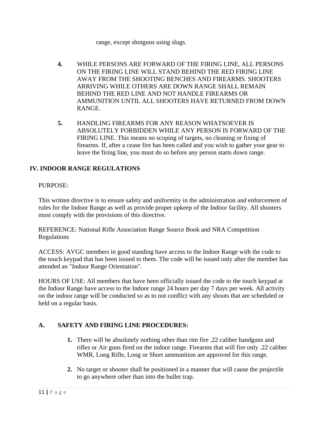range, except shotguns using slugs.

- **4.** WHILE PERSONS ARE FORWARD OF THE FIRING LINE, ALL PERSONS ON THE FIRING LINE WILL STAND BEHIND THE RED FIRING LINE AWAY FROM THE SHOOTING BENCHES AND FIREARMS. SHOOTERS ARRIVING WHILE OTHERS ARE DOWN RANGE SHALL REMAIN BEHIND THE RED LINE AND NOT HANDLE FIREARMS OR AMMUNITION UNTIL ALL SHOOTERS HAVE RETURNED FROM DOWN RANGE.
- **5.** HANDLING FIREARMS FOR ANY REASON WHATSOEVER IS ABSOLUTELY FORBIDDEN WHILE ANY PERSON IS FORWARD OF THE FIRING LINE. This means no scoping of targets, no cleaning or fixing of firearms. If, after a cease fire has been called and you wish to gather your gear to leave the firing line, you must do so before any person starts down range.

# **IV. INDOOR RANGE REGULATIONS**

#### PURPOSE:

This written directive is to ensure safety and uniformity in the administration and enforcement of rules for the Indoor Range as well as provide proper upkeep of the Indoor facility. All shooters must comply with the provisions of this directive.

REFERENCE: National Rifle Association Range Source Book and NRA Competition Regulations

ACCESS: AVGC members in good standing have access to the Indoor Range with the code to the touch keypad that has been issued to them. The code will be issued only after the member has attended an "Indoor Range Orientation".

HOURS OF USE: All members that have been officially issued the code to the touch keypad at the Indoor Range have access to the Indoor range 24 hours per day 7 days per week. All activity on the indoor range will be conducted so as to not conflict with any shoots that are scheduled or held on a regular basis.

# **A. SAFETY AND FIRING LINE PROCEDURES:**

- **1.** There will be absolutely nothing other than rim fire .22 caliber handguns and rifles or Air guns fired on the indoor range. Firearms that will fire only .22 caliber WMR, Long Rifle, Long or Short ammunition are approved for this range.
- **2.** No target or shooter shall be positioned in a manner that will cause the projectile to go anywhere other than into the bullet trap.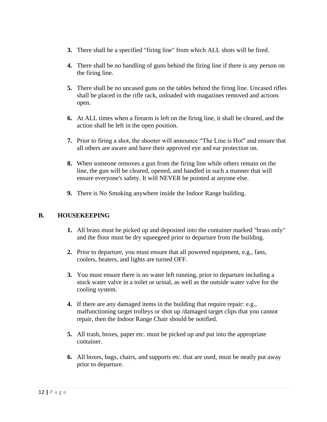- **3.** There shall be a specified "firing line" from which ALL shots will be fired.
- **4.** There shall be no handling of guns behind the firing line if there is any person on the firing line.
- **5.** There shall be no uncased guns on the tables behind the firing line. Uncased rifles shall be placed in the rifle rack, unloaded with magazines removed and actions open.
- **6.** At ALL times when a firearm is left on the firing line, it shall be cleared, and the action shall be left in the open position.
- **7.** Prior to firing a shot, the shooter will announce "The Line is Hot" and ensure that all others are aware and have their approved eye and ear protection on.
- **8.** When someone removes a gun from the firing line while others remain on the line, the gun will be cleared, opened, and handled in such a manner that will ensure everyone's safety. It will NEVER be pointed at anyone else.
- **9.** There is No Smoking anywhere inside the Indoor Range building.

#### **B. HOUSEKEEPING**

- **1.** All brass must be picked up and deposited into the container marked "brass only" and the floor must be dry squeegeed prior to departure from the building.
- **2.** Prior to departure, you must ensure that all powered equipment, e.g., fans, coolers, heaters, and lights are turned OFF.
- **3.** You must ensure there is no water left running, prior to departure including a stuck water valve in a toilet or urinal, as well as the outside water valve for the cooling system.
- **4.** If there are any damaged items in the building that require repair: e.g., malfunctioning target trolleys or shot up /damaged target clips that you cannot repair, then the Indoor Range Chair should be notified.
- **5.** All trash, boxes, paper etc. must be picked up and put into the appropriate container.
- **6.** All boxes, bags, chairs, and supports etc. that are used, must be neatly put away prior to departure.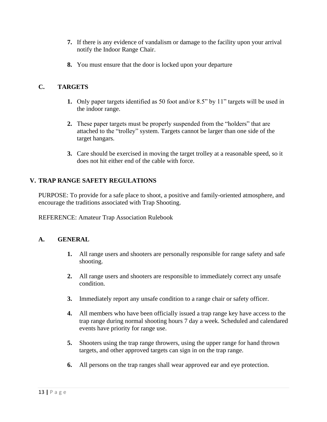- **7.** If there is any evidence of vandalism or damage to the facility upon your arrival notify the Indoor Range Chair.
- **8.** You must ensure that the door is locked upon your departure

# **C. TARGETS**

- **1.** Only paper targets identified as 50 foot and/or 8.5" by 11" targets will be used in the indoor range.
- **2.** These paper targets must be properly suspended from the "holders" that are attached to the "trolley" system. Targets cannot be larger than one side of the target hangars.
- **3.** Care should be exercised in moving the target trolley at a reasonable speed, so it does not hit either end of the cable with force.

# **V. TRAP RANGE SAFETY REGULATIONS**

PURPOSE: To provide for a safe place to shoot, a positive and family-oriented atmosphere, and encourage the traditions associated with Trap Shooting.

REFERENCE: Amateur Trap Association Rulebook

- **1.** All range users and shooters are personally responsible for range safety and safe shooting.
- **2.** All range users and shooters are responsible to immediately correct any unsafe condition.
- **3.** Immediately report any unsafe condition to a range chair or safety officer.
- **4.** All members who have been officially issued a trap range key have access to the trap range during normal shooting hours 7 day a week. Scheduled and calendared events have priority for range use.
- **5.** Shooters using the trap range throwers, using the upper range for hand thrown targets, and other approved targets can sign in on the trap range.
- **6.** All persons on the trap ranges shall wear approved ear and eye protection.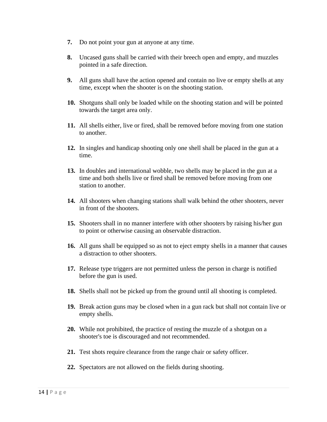- **7.** Do not point your gun at anyone at any time.
- **8.** Uncased guns shall be carried with their breech open and empty, and muzzles pointed in a safe direction.
- **9.** All guns shall have the action opened and contain no live or empty shells at any time, except when the shooter is on the shooting station.
- **10.** Shotguns shall only be loaded while on the shooting station and will be pointed towards the target area only.
- **11.** All shells either, live or fired, shall be removed before moving from one station to another.
- **12.** In singles and handicap shooting only one shell shall be placed in the gun at a time.
- **13.** In doubles and international wobble, two shells may be placed in the gun at a time and both shells live or fired shall be removed before moving from one station to another.
- **14.** All shooters when changing stations shall walk behind the other shooters, never in front of the shooters.
- **15.** Shooters shall in no manner interfere with other shooters by raising his/her gun to point or otherwise causing an observable distraction.
- **16.** All guns shall be equipped so as not to eject empty shells in a manner that causes a distraction to other shooters.
- **17.** Release type triggers are not permitted unless the person in charge is notified before the gun is used.
- **18.** Shells shall not be picked up from the ground until all shooting is completed.
- **19.** Break action guns may be closed when in a gun rack but shall not contain live or empty shells.
- **20.** While not prohibited, the practice of resting the muzzle of a shotgun on a shooter's toe is discouraged and not recommended.
- **21.** Test shots require clearance from the range chair or safety officer.
- **22.** Spectators are not allowed on the fields during shooting.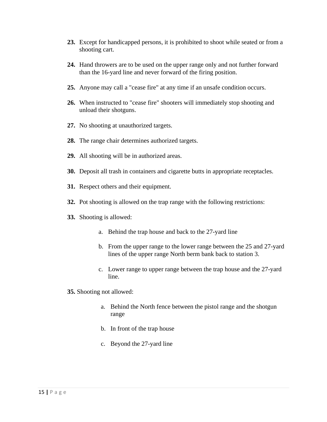- **23.** Except for handicapped persons, it is prohibited to shoot while seated or from a shooting cart.
- **24.** Hand throwers are to be used on the upper range only and not further forward than the 16-yard line and never forward of the firing position.
- **25.** Anyone may call a "cease fire" at any time if an unsafe condition occurs.
- **26.** When instructed to "cease fire" shooters will immediately stop shooting and unload their shotguns.
- **27.** No shooting at unauthorized targets.
- **28.** The range chair determines authorized targets.
- **29.** All shooting will be in authorized areas.
- **30.** Deposit all trash in containers and cigarette butts in appropriate receptacles.
- **31.** Respect others and their equipment.
- **32.** Pot shooting is allowed on the trap range with the following restrictions:
- **33.** Shooting is allowed:
	- a. Behind the trap house and back to the 27-yard line
	- b. From the upper range to the lower range between the 25 and 27-yard lines of the upper range North berm bank back to station 3.
	- c. Lower range to upper range between the trap house and the 27-yard line.
- **35.** Shooting not allowed:
	- a. Behind the North fence between the pistol range and the shotgun range
	- b. In front of the trap house
	- c. Beyond the 27-yard line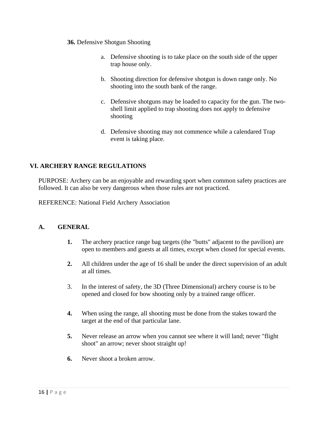#### **36.** Defensive Shotgun Shooting

- a. Defensive shooting is to take place on the south side of the upper trap house only.
- b. Shooting direction for defensive shotgun is down range only. No shooting into the south bank of the range.
- c. Defensive shotguns may be loaded to capacity for the gun. The twoshell limit applied to trap shooting does not apply to defensive shooting
- d. Defensive shooting may not commence while a calendared Trap event is taking place.

### **VI. ARCHERY RANGE REGULATIONS**

PURPOSE: Archery can be an enjoyable and rewarding sport when common safety practices are followed. It can also be very dangerous when those rules are not practiced.

REFERENCE: National Field Archery Association

- **1.** The archery practice range bag targets (the "butts" adjacent to the pavilion) are open to members and guests at all times, except when closed for special events.
- **2.** All children under the age of 16 shall be under the direct supervision of an adult at all times.
- 3. In the interest of safety, the 3D (Three Dimensional) archery course is to be opened and closed for bow shooting only by a trained range officer.
- **4.** When using the range, all shooting must be done from the stakes toward the target at the end of that particular lane.
- **5.** Never release an arrow when you cannot see where it will land; never "flight shoot" an arrow; never shoot straight up!
- **6.** Never shoot a broken arrow.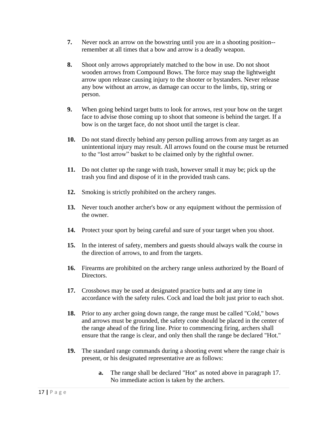- **7.** Never nock an arrow on the bowstring until you are in a shooting position- remember at all times that a bow and arrow is a deadly weapon.
- **8.** Shoot only arrows appropriately matched to the bow in use. Do not shoot wooden arrows from Compound Bows. The force may snap the lightweight arrow upon release causing injury to the shooter or bystanders. Never release any bow without an arrow, as damage can occur to the limbs, tip, string or person.
- **9.** When going behind target butts to look for arrows, rest your bow on the target face to advise those coming up to shoot that someone is behind the target. If a bow is on the target face, do not shoot until the target is clear.
- **10.** Do not stand directly behind any person pulling arrows from any target as an unintentional injury may result. All arrows found on the course must be returned to the "lost arrow" basket to be claimed only by the rightful owner.
- **11.** Do not clutter up the range with trash, however small it may be; pick up the trash you find and dispose of it in the provided trash cans.
- **12.** Smoking is strictly prohibited on the archery ranges.
- **13.** Never touch another archer's bow or any equipment without the permission of the owner.
- **14.** Protect your sport by being careful and sure of your target when you shoot.
- **15.** In the interest of safety, members and guests should always walk the course in the direction of arrows, to and from the targets.
- **16.** Firearms are prohibited on the archery range unless authorized by the Board of Directors.
- **17.** Crossbows may be used at designated practice butts and at any time in accordance with the safety rules. Cock and load the bolt just prior to each shot.
- **18.** Prior to any archer going down range, the range must be called "Cold," bows and arrows must be grounded, the safety cone should be placed in the center of the range ahead of the firing line. Prior to commencing firing, archers shall ensure that the range is clear, and only then shall the range be declared "Hot."
- **19.** The standard range commands during a shooting event where the range chair is present, or his designated representative are as follows:
	- **a.** The range shall be declared "Hot" as noted above in paragraph 17. No immediate action is taken by the archers.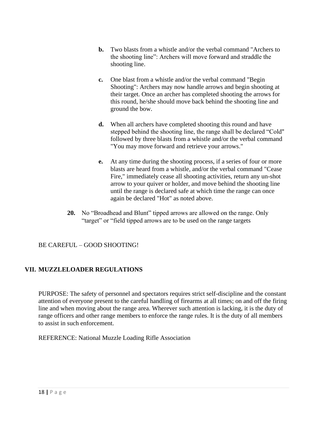- **b.** Two blasts from a whistle and/or the verbal command "Archers to the shooting line": Archers will move forward and straddle the shooting line.
- **c.** One blast from a whistle and/or the verbal command "Begin Shooting": Archers may now handle arrows and begin shooting at their target. Once an archer has completed shooting the arrows for this round, he/she should move back behind the shooting line and ground the bow.
- **d.** When all archers have completed shooting this round and have stepped behind the shooting line, the range shall be declared "Cold" followed by three blasts from a whistle and/or the verbal command "You may move forward and retrieve your arrows."
- **e.** At any time during the shooting process, if a series of four or more blasts are heard from a whistle, and/or the verbal command "Cease Fire," immediately cease all shooting activities, return any un-shot arrow to your quiver or holder, and move behind the shooting line until the range is declared safe at which time the range can once again be declared "Hot" as noted above.
- **20.** No "Broadhead and Blunt" tipped arrows are allowed on the range. Only "target" or "field tipped arrows are to be used on the range targets

# BE CAREFUL – GOOD SHOOTING!

# **VII. MUZZLELOADER REGULATIONS**

PURPOSE: The safety of personnel and spectators requires strict self-discipline and the constant attention of everyone present to the careful handling of firearms at all times; on and off the firing line and when moving about the range area. Wherever such attention is lacking, it is the duty of range officers and other range members to enforce the range rules. It is the duty of all members to assist in such enforcement.

REFERENCE: National Muzzle Loading Rifle Association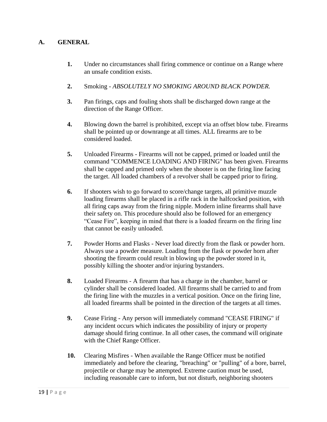- **1.** Under no circumstances shall firing commence or continue on a Range where an unsafe condition exists.
- **2.** Smoking *- ABSOLUTELY NO SMOKING AROUND BLACK POWDER.*
- **3.** Pan firings, caps and fouling shots shall be discharged down range at the direction of the Range Officer.
- **4.** Blowing down the barrel is prohibited, except via an offset blow tube. Firearms shall be pointed up or downrange at all times. ALL firearms are to be considered loaded.
- **5.** Unloaded Firearms Firearms will not be capped, primed or loaded until the command "COMMENCE LOADING AND FIRING" has been given. Firearms shall be capped and primed only when the shooter is on the firing line facing the target. All loaded chambers of a revolver shall be capped prior to firing.
- **6.** If shooters wish to go forward to score/change targets, all primitive muzzle loading firearms shall be placed in a rifle rack in the halfcocked position, with all firing caps away from the firing nipple. Modern inline firearms shall have their safety on. This procedure should also be followed for an emergency "Cease Fire", keeping in mind that there is a loaded firearm on the firing line that cannot be easily unloaded.
- **7.** Powder Horns and Flasks Never load directly from the flask or powder horn. Always use a powder measure. Loading from the flask or powder horn after shooting the firearm could result in blowing up the powder stored in it, possibly killing the shooter and/or injuring bystanders.
- **8.** Loaded Firearms A firearm that has a charge in the chamber, barrel or cylinder shall be considered loaded. All firearms shall be carried to and from the firing line with the muzzles in a vertical position. Once on the firing line, all loaded firearms shall be pointed in the direction of the targets at all times.
- **9.** Cease Firing Any person will immediately command "CEASE FIRING" if any incident occurs which indicates the possibility of injury or property damage should firing continue. In all other cases, the command will originate with the Chief Range Officer.
- **10.** Clearing Misfires When available the Range Officer must be notified immediately and before the clearing, "breaching" or "pulling" of a bore, barrel, projectile or charge may be attempted. Extreme caution must be used, including reasonable care to inform, but not disturb, neighboring shooters